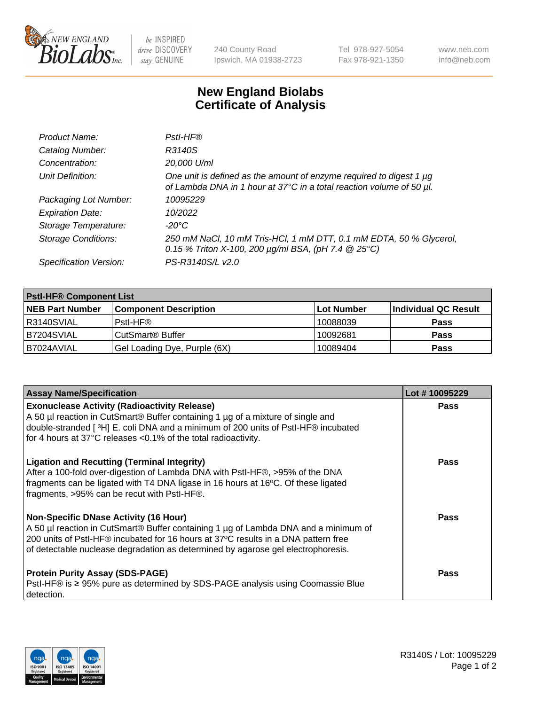

 $be$  INSPIRED drive DISCOVERY stay GENUINE

240 County Road Ipswich, MA 01938-2723 Tel 978-927-5054 Fax 978-921-1350 www.neb.com info@neb.com

## **New England Biolabs Certificate of Analysis**

| Product Name:              | Pstl-HF®                                                                                                                                             |
|----------------------------|------------------------------------------------------------------------------------------------------------------------------------------------------|
| Catalog Number:            | R3140S                                                                                                                                               |
| Concentration:             | 20,000 U/ml                                                                                                                                          |
| Unit Definition:           | One unit is defined as the amount of enzyme required to digest 1 µg<br>of Lambda DNA in 1 hour at 37°C in a total reaction volume of 50 µl.          |
| Packaging Lot Number:      | 10095229                                                                                                                                             |
| <b>Expiration Date:</b>    | 10/2022                                                                                                                                              |
| Storage Temperature:       | $-20^{\circ}$ C                                                                                                                                      |
| <b>Storage Conditions:</b> | 250 mM NaCl, 10 mM Tris-HCl, 1 mM DTT, 0.1 mM EDTA, 50 % Glycerol,<br>0.15 % Triton X-100, 200 $\mu$ g/ml BSA, (pH 7.4 $\textcircled{25}^{\circ}$ C) |
| Specification Version:     | PS-R3140S/L v2.0                                                                                                                                     |

| <b>Pstl-HF® Component List</b> |                              |            |                      |  |
|--------------------------------|------------------------------|------------|----------------------|--|
| <b>NEB Part Number</b>         | <b>Component Description</b> | Lot Number | Individual QC Result |  |
| IR3140SVIAL                    | Pstl-HF®                     | 10088039   | <b>Pass</b>          |  |
| B7204SVIAL                     | CutSmart <sup>®</sup> Buffer | 10092681   | <b>Pass</b>          |  |
| I B7024AVIAL                   | Gel Loading Dye, Purple (6X) | 10089404   | <b>Pass</b>          |  |

| <b>Assay Name/Specification</b>                                                                                                                                                                                                                                                                        | Lot #10095229 |
|--------------------------------------------------------------------------------------------------------------------------------------------------------------------------------------------------------------------------------------------------------------------------------------------------------|---------------|
| <b>Exonuclease Activity (Radioactivity Release)</b><br>A 50 µl reaction in CutSmart® Buffer containing 1 µg of a mixture of single and<br>double-stranded [3H] E. coli DNA and a minimum of 200 units of PstI-HF® incubated<br>for 4 hours at 37°C releases <0.1% of the total radioactivity.          | <b>Pass</b>   |
| <b>Ligation and Recutting (Terminal Integrity)</b><br>After a 100-fold over-digestion of Lambda DNA with PstI-HF®, >95% of the DNA<br>fragments can be ligated with T4 DNA ligase in 16 hours at 16°C. Of these ligated<br>fragments, >95% can be recut with PstI-HF®.                                 | Pass          |
| Non-Specific DNase Activity (16 Hour)<br>A 50 µl reaction in CutSmart® Buffer containing 1 µg of Lambda DNA and a minimum of<br>200 units of Pstl-HF® incubated for 16 hours at 37°C results in a DNA pattern free<br>of detectable nuclease degradation as determined by agarose gel electrophoresis. | <b>Pass</b>   |
| <b>Protein Purity Assay (SDS-PAGE)</b><br>PstI-HF® is ≥ 95% pure as determined by SDS-PAGE analysis using Coomassie Blue<br>I detection.                                                                                                                                                               | <b>Pass</b>   |